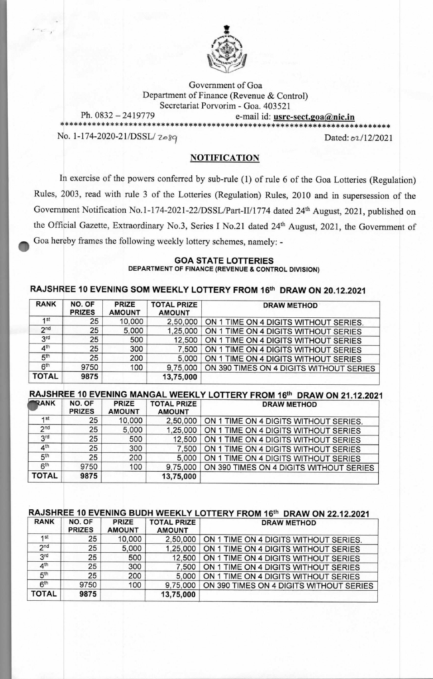

Government of Goa Department of Finance (Revenue & Control) Secretariat Porvorim - Goa. 403521 Ph. 0832 — 2419779 e-mail id: **usrc-sect.goanic.in \*\*\*\*\*\*\*\*\*\*\*\*\*\*\*\*\*\*\*\*\*\*\*\*\*\*\*\*\*\*\*\*\*\*\*\*\*\*\*\*\*\*\*\*\*\*\*\*\*\*\*\*\*\*\*\*\*\*\*\*\*\*\*\*\*\*\*\*\*\*\*\***  No. 1-174-2020-21/DSSL/  $2 \cdot 8q$  Dated:  $\frac{\partial 1}{2}$ 2021

### **NOTIFICATION**

In exercise of the powers conferred by sub-rule (1) of rule 6 of the Goa Lotteries (Regulation) Rules, 2003, read with rule 3 of the Lotteries (Regulation) Rules, 2010 and in supersession of the Government Notification No.1-174-2021-22/DSSL/Part-II/1774 dated 24th August, 2021, published on the Official Gazette, Extraordinary No.3, Series I No.21 dated 24th August, 2021, the Government of Goa hereby frames the following weekly lottery schemes, namely: **-** 

#### **GOA STATE LOTTERIES DEPARTMENT OF FINANCE (REVENUE & CONTROL DIVISION)**

# **RAJSHREE 10 EVENING SOM WEEKLY LOTTERY FROM 16th DRAW ON 20.12.2021**

| <b>RANK</b>     | NO. OF<br><b>PRIZES</b> | <b>PRIZE</b><br><b>AMOUNT</b> | <b>TOTAL PRIZE</b><br><b>AMOUNT</b> | <b>DRAW METHOD</b>                      |
|-----------------|-------------------------|-------------------------------|-------------------------------------|-----------------------------------------|
| 1st             | 25                      | 10,000                        | 2,50,000                            | ON 1 TIME ON 4 DIGITS WITHOUT SERIES.   |
| 2 <sub>nd</sub> | 25                      | 5,000                         | 1,25,000                            | ON 1 TIME ON 4 DIGITS WITHOUT SERIES    |
| 3 <sup>rd</sup> | 25                      | 500                           | 12,500                              | ON 1 TIME ON 4 DIGITS WITHOUT SERIES    |
| 4 <sup>th</sup> | 25                      | 300                           | 7,500                               | ON 1 TIME ON 4 DIGITS WITHOUT SERIES    |
| 5 <sup>th</sup> | 25                      | 200                           | 5,000                               | ON 1 TIME ON 4 DIGITS WITHOUT SERIES    |
| 6 <sup>th</sup> | 9750                    | 100                           | 9,75,000                            | ON 390 TIMES ON 4 DIGITS WITHOUT SERIES |
| <b>TOTAL</b>    | 9875                    |                               | 13,75,000                           |                                         |

# **RAJSHREE 10 EVENING MANGAL WEEKLY LOTTERY FROM 16th**

| <b>RANK</b>     | NO. OF<br><b>PRIZES</b> | <b>PRIZE</b><br><b>AMOUNT</b> | <b>TOTAL PRIZE</b><br><b>AMOUNT</b> | <b>DRAW METHOD</b>                      |
|-----------------|-------------------------|-------------------------------|-------------------------------------|-----------------------------------------|
| 1st             | 25                      | 10,000                        | 2,50,000                            | ON 1 TIME ON 4 DIGITS WITHOUT SERIES.   |
| 2 <sub>nd</sub> | 25                      | 5,000                         | 1,25,000                            | ON 1 TIME ON 4 DIGITS WITHOUT SERIES    |
| 3 <sup>rd</sup> | 25                      | 500                           | 12,500                              | ON 1 TIME ON 4 DIGITS WITHOUT SERIES    |
| 4 <sup>th</sup> | 25                      | 300                           | 7,500                               | ON 1 TIME ON 4 DIGITS WITHOUT SERIES    |
| 5 <sup>th</sup> | 25                      | 200                           | 5,000                               | ON 1 TIME ON 4 DIGITS WITHOUT SERIES    |
| 6 <sup>th</sup> | 9750                    | 100                           | 9,75,000                            | ON 390 TIMES ON 4 DIGITS WITHOUT SERIES |
| <b>TOTAL</b>    | 9875                    |                               | 13,75,000                           |                                         |

## **RAJSHREE 10 EVENING BUDH WEEKLY LOTTERY FROM 16th DRAW**

| <b>RANK</b>     | NO. OF<br><b>PRIZES</b> | <b>PRIZE</b><br><b>AMOUNT</b> | <b>TOTAL PRIZE</b><br><b>AMOUNT</b> | <b>DRAW METHOD</b>                      |
|-----------------|-------------------------|-------------------------------|-------------------------------------|-----------------------------------------|
| 1st             | 25                      | 10,000                        | 2,50,000                            | ON 1 TIME ON 4 DIGITS WITHOUT SERIES.   |
| 2 <sub>nd</sub> | 25                      | 5,000                         | 1,25,000                            | ON 1 TIME ON 4 DIGITS WITHOUT SERIES    |
| 3 <sup>rd</sup> | 25                      | 500                           | 12,500                              | ON 1 TIME ON 4 DIGITS WITHOUT SERIES    |
| 4 <sup>th</sup> | 25                      | 300                           | 7,500                               | ON 1 TIME ON 4 DIGITS WITHOUT SERIES    |
| 5 <sup>th</sup> | 25                      | 200                           | 5,000                               | ON 1 TIME ON 4 DIGITS WITHOUT SERIES    |
| 6 <sup>th</sup> | 9750                    | 100                           | 9,75,000                            | ON 390 TIMES ON 4 DIGITS WITHOUT SERIES |
| <b>TOTAL</b>    | 9875                    |                               | 13,75,000                           |                                         |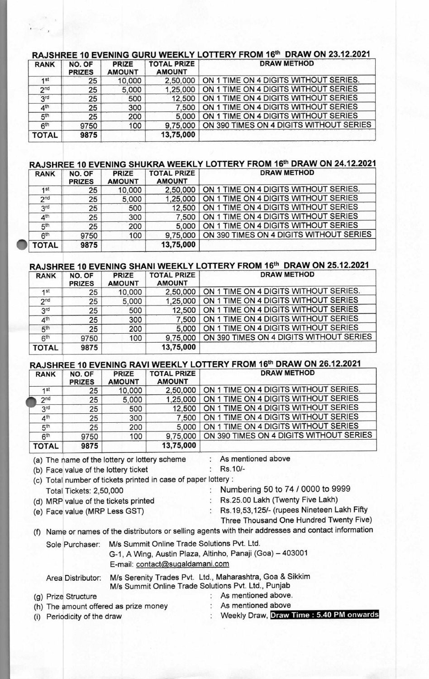# **RAJSHREE 10 EVENING GURU WEEKLY LOTTERY FROM 16th DRAW ON 23.12.2021**

| <b>RANK</b>     | NO. OF<br><b>PRIZES</b> | <b>PRIZE</b><br><b>AMOUNT</b> | <b>TOTAL PRIZE</b><br><b>AMOUNT</b> | <b>DRAW METHOD</b>                      |
|-----------------|-------------------------|-------------------------------|-------------------------------------|-----------------------------------------|
| 1st             | 25                      | 10,000                        | 2,50,000                            | ON 1 TIME ON 4 DIGITS WITHOUT SERIES.   |
| 2 <sub>nd</sub> | 25                      | 5,000                         | 1,25,000                            | ON 1 TIME ON 4 DIGITS WITHOUT SERIES    |
| 3 <sup>rd</sup> | 25                      | 500                           | 12,500                              | ON 1 TIME ON 4 DIGITS WITHOUT SERIES    |
| 4 <sup>th</sup> | 25                      | 300                           | 7,500                               | ON 1 TIME ON 4 DIGITS WITHOUT SERIES    |
| 5 <sup>th</sup> | 25                      | 200                           | 5,000                               | ON 1 TIME ON 4 DIGITS WITHOUT SERIES    |
| 6 <sup>th</sup> | 9750                    | 100                           | 9,75,000                            | ON 390 TIMES ON 4 DIGITS WITHOUT SERIES |
| <b>TOTAL</b>    | 9875                    |                               | 13,75,000                           |                                         |

#### RAJSHREE 10 EVENING SHUKRA WEEKLY LOTTERY FROM 16<sup>th</sup> DRAW ON 24.12.2021

| <b>RANK</b>     | NO. OF<br><b>PRIZES</b> | <b>PRIZE</b><br><b>AMOUNT</b> | <b>TOTAL PRIZE</b><br><b>AMOUNT</b> | <b>DRAW METHOD</b>                      |
|-----------------|-------------------------|-------------------------------|-------------------------------------|-----------------------------------------|
| 4st             | 25                      | 10,000                        | 2,50,000                            | ON 1 TIME ON 4 DIGITS WITHOUT SERIES.   |
| 2 <sub>nd</sub> | 25                      | 5,000                         | 1,25,000                            | ON 1 TIME ON 4 DIGITS WITHOUT SERIES    |
| 3 <sup>rd</sup> | 25                      | 500                           | 12,500                              | ON 1 TIME ON 4 DIGITS WITHOUT SERIES    |
| 4 <sup>th</sup> | 25                      | 300                           | 7.500                               | ON 1 TIME ON 4 DIGITS WITHOUT SERIES    |
| 5 <sup>th</sup> | 25                      | 200                           | 5,000                               | ON 1 TIME ON 4 DIGITS WITHOUT SERIES    |
| 6 <sup>th</sup> | 9750                    | 100                           | 9.75,000                            | ON 390 TIMES ON 4 DIGITS WITHOUT SERIES |
| <b>TOTAL</b>    | 9875                    |                               | 13,75,000                           |                                         |

## **HANI WEEKLY LOTTERY FROM 16th DRAW ON 25.12.2021**

| <b>RANK</b>     | NO. OF<br><b>PRIZES</b> | <b>PRIZE</b><br><b>AMOUNT</b> | <b>TOTAL PRIZE</b><br><b>AMOUNT</b> | <b>DRAW METHOD</b>                      |
|-----------------|-------------------------|-------------------------------|-------------------------------------|-----------------------------------------|
| 1st             | 25                      | 10,000                        | 2,50,000                            | ON 1 TIME ON 4 DIGITS WITHOUT SERIES.   |
| 2 <sub>nd</sub> | 25                      | 5,000                         | 1,25,000                            | ON 1 TIME ON 4 DIGITS WITHOUT SERIES    |
| 3 <sup>rd</sup> | 25                      | 500                           | 12,500                              | ON 1 TIME ON 4 DIGITS WITHOUT SERIES    |
| 4 <sup>th</sup> | 25                      | 300                           | 7.500                               | ON 1 TIME ON 4 DIGITS WITHOUT SERIES    |
| 5 <sup>th</sup> | 25                      | 200                           | 5,000                               | ON 1 TIME ON 4 DIGITS WITHOUT SERIES    |
| 6 <sup>th</sup> | 9750                    | 100                           | 9,75,000                            | ON 390 TIMES ON 4 DIGITS WITHOUT SERIES |
| <b>TOTAL</b>    | 9875                    |                               | 13,75,000                           |                                         |

## **RAJSHREE 10 EVENING RAVI WEEKLY LOTTERY FROM 16th DRAW ON 26.12.2021**

| <b>RANK</b>     | NO. OF<br><b>PRIZES</b> | <b>PRIZE</b><br><b>AMOUNT</b> | <b>TOTAL PRIZE</b><br><b>AMOUNT</b> | <b>DRAW METHOD</b>                      |
|-----------------|-------------------------|-------------------------------|-------------------------------------|-----------------------------------------|
| 1st             | 25                      | 10,000                        | 2,50,000                            | ON 1 TIME ON 4 DIGITS WITHOUT SERIES.   |
| 2 <sub>nd</sub> | 25                      | 5,000                         | 1,25,000                            | ON 1 TIME ON 4 DIGITS WITHOUT SERIES    |
| <b>3rd</b>      | 25                      | 500                           | 12,500                              | ON 1 TIME ON 4 DIGITS WITHOUT SERIES    |
| 4 <sup>th</sup> | 25                      | 300                           | 7,500                               | ON 1 TIME ON 4 DIGITS WITHOUT SERIES    |
| 5 <sup>th</sup> | 25                      | 200                           | 5,000                               | ON 1 TIME ON 4 DIGITS WITHOUT SERIES    |
| 6 <sup>th</sup> | 9750                    | 100                           | 9,75,000                            | ON 390 TIMES ON 4 DIGITS WITHOUT SERIES |
| <b>TOTAL</b>    | 9875                    |                               | 13,75,000                           |                                         |

(a) The name of the lottery or lottery scheme : As mentioned above

(b) Face value of the lottery ticket : Rs.10/-

| (c) Total number of tickets printed in case of paper lottery : |                                               |
|----------------------------------------------------------------|-----------------------------------------------|
| Total Tickets: 2,50,000                                        | Numbering 50 to 74 / 0000 to 9999             |
| (d) MRP value of the tickets printed                           | Rs.25.00 Lakh (Twenty Five Lakh)              |
| (e) Face value (MRP Less GST)                                  | Rs. 19, 53, 125/- (rupees Nineteen Lakh Fifty |
|                                                                | Three Thousand One Hundred Twenty Five)       |

(f) Name or names of the distributors or selling agents with their addresses and contact information Sole Purchaser: M/s Summit Online Trade Solutions Pvt. Ltd.

G-1, A Wing, Austin Plaza, Altinho, Panaji (Goa) — 403001 E-mail: contact@sugaldamani.com

Area Distributor: M/s Serenity Trades Pvt. Ltd., Maharashtra, Goa & Sikkim M/s Summit Online Trade Solutions Pvt. Ltd., Punjab

#### (g) Prize Structure : As mentioned above.<br>
(h) The amount offered as prize money : As mentioned above (h) The amount offered as prize money (i) Periodicity of the draw : Weekly Draw, **Draw Time : 5.40 PM onwards**